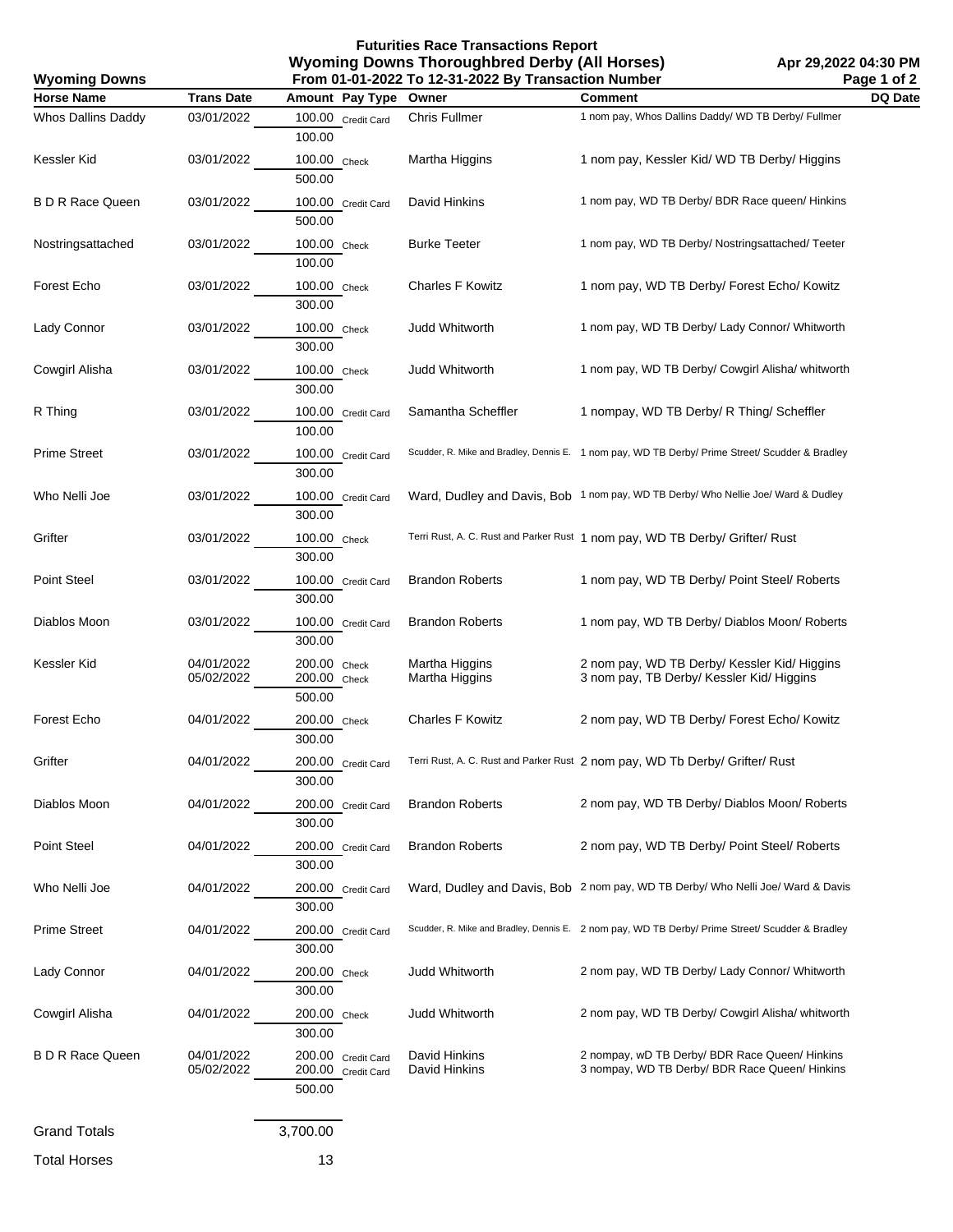**Futurities Race Transactions Report Wyoming Downs Thoroughbred Derby (All Horses) From 01-01-2022 To 12-31-2022 By Transaction Number**

| Page 1 of 2<br>From 01-01-2022 To 12-31-2022 By Transaction Number<br><b>Wyoming Downs</b> |                          |                                                    |                                  |                                                                                                  |         |
|--------------------------------------------------------------------------------------------|--------------------------|----------------------------------------------------|----------------------------------|--------------------------------------------------------------------------------------------------|---------|
| <b>Horse Name</b>                                                                          | <b>Trans Date</b>        | Amount Pay Type                                    | Owner                            | <b>Comment</b>                                                                                   | DQ Date |
| Whos Dallins Daddy                                                                         | 03/01/2022               | 100.00 Credit Card<br>100.00                       | Chris Fullmer                    | 1 nom pay, Whos Dallins Daddy/ WD TB Derby/ Fullmer                                              |         |
| Kessler Kid                                                                                | 03/01/2022               | 100.00 Check<br>500.00                             | Martha Higgins                   | 1 nom pay, Kessler Kid/WD TB Derby/Higgins                                                       |         |
| <b>B D R Race Queen</b>                                                                    | 03/01/2022               | 100.00 Credit Card<br>500.00                       | David Hinkins                    | 1 nom pay, WD TB Derby/ BDR Race queen/ Hinkins                                                  |         |
| Nostringsattached                                                                          | 03/01/2022               | 100.00 Check<br>100.00                             | <b>Burke Teeter</b>              | 1 nom pay, WD TB Derby/ Nostringsattached/ Teeter                                                |         |
| Forest Echo                                                                                | 03/01/2022               | 100.00 Check<br>300.00                             | <b>Charles F Kowitz</b>          | 1 nom pay, WD TB Derby/ Forest Echo/ Kowitz                                                      |         |
| Lady Connor                                                                                | 03/01/2022               | 100.00 Check<br>300.00                             | Judd Whitworth                   | 1 nom pay, WD TB Derby/ Lady Connor/ Whitworth                                                   |         |
| Cowgirl Alisha                                                                             | 03/01/2022               | 100.00 Check<br>300.00                             | Judd Whitworth                   | 1 nom pay, WD TB Derby/ Cowgirl Alisha/ whitworth                                                |         |
| R Thing                                                                                    | 03/01/2022               | 100.00 Credit Card<br>100.00                       | Samantha Scheffler               | 1 nompay, WD TB Derby/ R Thing/ Scheffler                                                        |         |
| <b>Prime Street</b>                                                                        | 03/01/2022               | 100.00 Credit Card<br>300.00                       |                                  | Scudder, R. Mike and Bradley, Dennis E. 1 nom pay, WD TB Derby/ Prime Street/ Scudder & Bradley  |         |
| Who Nelli Joe                                                                              | 03/01/2022               | 100.00 Credit Card<br>300.00                       |                                  | Ward, Dudley and Davis, Bob 1 nom pay, WD TB Derby/ Who Nellie Joe/ Ward & Dudley                |         |
| Grifter                                                                                    | 03/01/2022               | 100.00 Check<br>300.00                             |                                  | Terri Rust, A. C. Rust and Parker Rust 1 nom pay, WD TB Derby/ Grifter/ Rust                     |         |
| Point Steel                                                                                | 03/01/2022               | 100.00 Credit Card<br>300.00                       | <b>Brandon Roberts</b>           | 1 nom pay, WD TB Derby/ Point Steel/ Roberts                                                     |         |
| Diablos Moon                                                                               | 03/01/2022               | 100.00 Credit Card<br>300.00                       | <b>Brandon Roberts</b>           | 1 nom pay, WD TB Derby/ Diablos Moon/ Roberts                                                    |         |
| Kessler Kid                                                                                | 04/01/2022<br>05/02/2022 | 200.00 Check<br>200.00 Check<br>500.00             | Martha Higgins<br>Martha Higgins | 2 nom pay, WD TB Derby/ Kessler Kid/ Higgins<br>3 nom pay, TB Derby/ Kessler Kid/ Higgins        |         |
| Forest Echo                                                                                | 04/01/2022               | 200.00 Check<br>300.00                             | <b>Charles F Kowitz</b>          | 2 nom pay, WD TB Derby/ Forest Echo/ Kowitz                                                      |         |
| Grifter                                                                                    | 04/01/2022               | 200.00 Credit Card<br>300.00                       |                                  | Terri Rust, A. C. Rust and Parker Rust 2 nom pay, WD Tb Derby/ Grifter/ Rust                     |         |
| Diablos Moon                                                                               | 04/01/2022               | 200.00 Credit Card<br>300.00                       | <b>Brandon Roberts</b>           | 2 nom pay, WD TB Derby/ Diablos Moon/ Roberts                                                    |         |
| Point Steel                                                                                | 04/01/2022               | 200.00 Credit Card<br>300.00                       | <b>Brandon Roberts</b>           | 2 nom pay, WD TB Derby/ Point Steel/ Roberts                                                     |         |
| Who Nelli Joe                                                                              | 04/01/2022               | 200.00 Credit Card<br>300.00                       |                                  | Ward, Dudley and Davis, Bob 2 nom pay, WD TB Derby/ Who Nelli Joe/ Ward & Davis                  |         |
| <b>Prime Street</b>                                                                        | 04/01/2022               | 200.00 Credit Card<br>300.00                       |                                  | Scudder, R. Mike and Bradley, Dennis E. 2 nom pay, WD TB Derby/ Prime Street/ Scudder & Bradley  |         |
| Lady Connor                                                                                | 04/01/2022               | 200.00 Check<br>300.00                             | <b>Judd Whitworth</b>            | 2 nom pay, WD TB Derby/ Lady Connor/ Whitworth                                                   |         |
| Cowgirl Alisha                                                                             | 04/01/2022               | 200.00 Check<br>300.00                             | Judd Whitworth                   | 2 nom pay, WD TB Derby/ Cowgirl Alisha/ whitworth                                                |         |
| <b>B D R Race Queen</b>                                                                    | 04/01/2022<br>05/02/2022 | 200.00 Credit Card<br>200.00 Credit Card<br>500.00 | David Hinkins<br>David Hinkins   | 2 nompay, wD TB Derby/ BDR Race Queen/ Hinkins<br>3 nompay, WD TB Derby/ BDR Race Queen/ Hinkins |         |
| <b>Grand Totals</b>                                                                        |                          | 3,700.00                                           |                                  |                                                                                                  |         |
| <b>Total Horses</b>                                                                        |                          | 13                                                 |                                  |                                                                                                  |         |